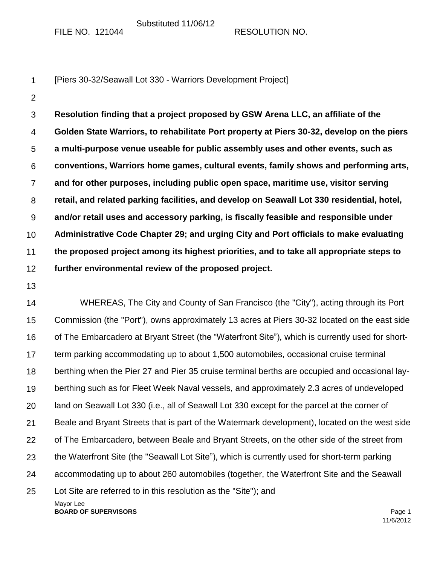Substituted 11/06/12

FILE NO. 121044 RESOLUTION NO.

|  | [Piers 30-32/Seawall Lot 330 - Warriors Development Project] |  |
|--|--------------------------------------------------------------|--|
|--|--------------------------------------------------------------|--|

2

3 4 5 6 7 8 9 10 11 12 **Resolution finding that a project proposed by GSW Arena LLC, an affiliate of the Golden State Warriors, to rehabilitate Port property at Piers 30-32, develop on the piers a multi-purpose venue useable for public assembly uses and other events, such as conventions, Warriors home games, cultural events, family shows and performing arts, and for other purposes, including public open space, maritime use, visitor serving retail, and related parking facilities, and develop on Seawall Lot 330 residential, hotel, and/or retail uses and accessory parking, is fiscally feasible and responsible under Administrative Code Chapter 29; and urging City and Port officials to make evaluating the proposed project among its highest priorities, and to take all appropriate steps to further environmental review of the proposed project.**

13

Mayor Lee 14 15 16 17 18 19 20 21 22 23 24 25 WHEREAS, The City and County of San Francisco (the "City"), acting through its Port Commission (the "Port"), owns approximately 13 acres at Piers 30-32 located on the east side of The Embarcadero at Bryant Street (the "Waterfront Site"), which is currently used for shortterm parking accommodating up to about 1,500 automobiles, occasional cruise terminal berthing when the Pier 27 and Pier 35 cruise terminal berths are occupied and occasional layberthing such as for Fleet Week Naval vessels, and approximately 2.3 acres of undeveloped land on Seawall Lot 330 (i.e., all of Seawall Lot 330 except for the parcel at the corner of Beale and Bryant Streets that is part of the Watermark development), located on the west side of The Embarcadero, between Beale and Bryant Streets, on the other side of the street from the Waterfront Site (the "Seawall Lot Site"), which is currently used for short-term parking accommodating up to about 260 automobiles (together, the Waterfront Site and the Seawall Lot Site are referred to in this resolution as the "Site"); and

**BOARD OF SUPERVISORS Page 1**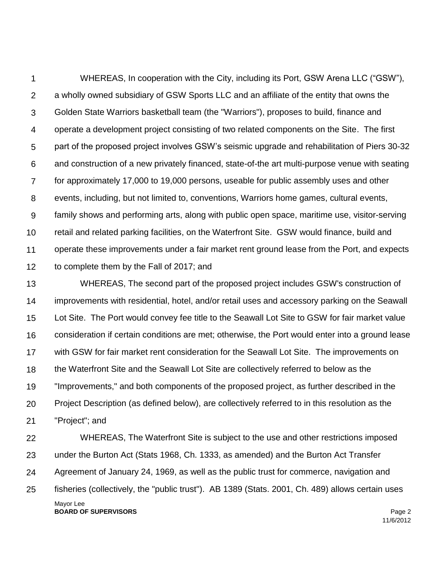1  $\mathcal{P}$ 3 4 5 6 7 8 9 10 11 12 WHEREAS, In cooperation with the City, including its Port, GSW Arena LLC ("GSW"), a wholly owned subsidiary of GSW Sports LLC and an affiliate of the entity that owns the Golden State Warriors basketball team (the "Warriors"), proposes to build, finance and operate a development project consisting of two related components on the Site. The first part of the proposed project involves GSW's seismic upgrade and rehabilitation of Piers 30-32 and construction of a new privately financed, state-of-the art multi-purpose venue with seating for approximately 17,000 to 19,000 persons, useable for public assembly uses and other events, including, but not limited to, conventions, Warriors home games, cultural events, family shows and performing arts, along with public open space, maritime use, visitor-serving retail and related parking facilities, on the Waterfront Site. GSW would finance, build and operate these improvements under a fair market rent ground lease from the Port, and expects to complete them by the Fall of 2017; and

13 14 15 16 17 18 19 20 21 WHEREAS, The second part of the proposed project includes GSW's construction of improvements with residential, hotel, and/or retail uses and accessory parking on the Seawall Lot Site. The Port would convey fee title to the Seawall Lot Site to GSW for fair market value consideration if certain conditions are met; otherwise, the Port would enter into a ground lease with GSW for fair market rent consideration for the Seawall Lot Site. The improvements on the Waterfront Site and the Seawall Lot Site are collectively referred to below as the "Improvements," and both components of the proposed project, as further described in the Project Description (as defined below), are collectively referred to in this resolution as the "Project"; and

Mayor Lee **BOARD OF SUPERVISORS** Page 2 22 23 24 25 WHEREAS, The Waterfront Site is subject to the use and other restrictions imposed under the Burton Act (Stats 1968, Ch. 1333, as amended) and the Burton Act Transfer Agreement of January 24, 1969, as well as the public trust for commerce, navigation and fisheries (collectively, the "public trust"). AB 1389 (Stats. 2001, Ch. 489) allows certain uses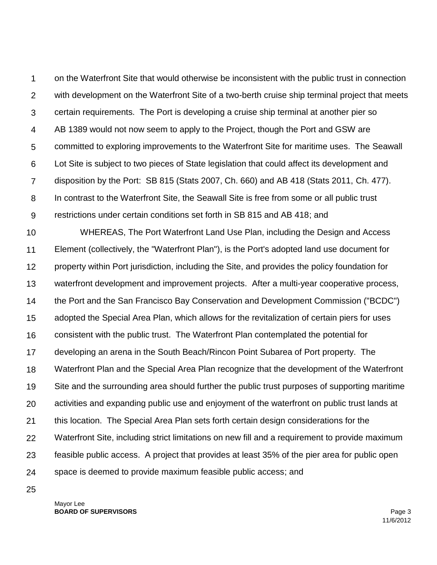1  $\mathcal{P}$ 3 4 5 6 7 8 9 on the Waterfront Site that would otherwise be inconsistent with the public trust in connection with development on the Waterfront Site of a two-berth cruise ship terminal project that meets certain requirements. The Port is developing a cruise ship terminal at another pier so AB 1389 would not now seem to apply to the Project, though the Port and GSW are committed to exploring improvements to the Waterfront Site for maritime uses. The Seawall Lot Site is subject to two pieces of State legislation that could affect its development and disposition by the Port: SB 815 (Stats 2007, Ch. 660) and AB 418 (Stats 2011, Ch. 477). In contrast to the Waterfront Site, the Seawall Site is free from some or all public trust restrictions under certain conditions set forth in SB 815 and AB 418; and

10 11 12 13 14 15 16 17 18 19 20 21 22 23 24 WHEREAS, The Port Waterfront Land Use Plan, including the Design and Access Element (collectively, the "Waterfront Plan"), is the Port's adopted land use document for property within Port jurisdiction, including the Site, and provides the policy foundation for waterfront development and improvement projects. After a multi-year cooperative process, the Port and the San Francisco Bay Conservation and Development Commission ("BCDC") adopted the Special Area Plan, which allows for the revitalization of certain piers for uses consistent with the public trust. The Waterfront Plan contemplated the potential for developing an arena in the South Beach/Rincon Point Subarea of Port property. The Waterfront Plan and the Special Area Plan recognize that the development of the Waterfront Site and the surrounding area should further the public trust purposes of supporting maritime activities and expanding public use and enjoyment of the waterfront on public trust lands at this location. The Special Area Plan sets forth certain design considerations for the Waterfront Site, including strict limitations on new fill and a requirement to provide maximum feasible public access. A project that provides at least 35% of the pier area for public open space is deemed to provide maximum feasible public access; and

25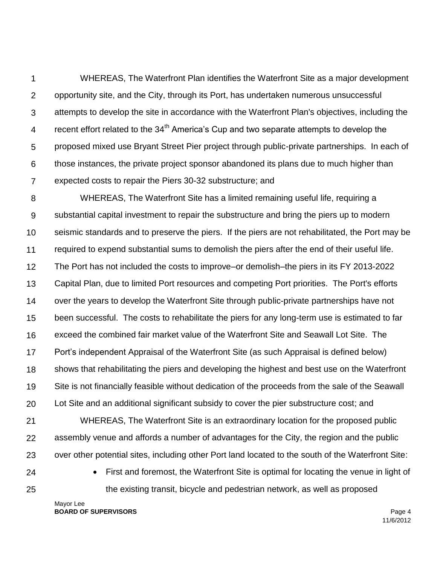1 2 3 4 5 6 7 WHEREAS, The Waterfront Plan identifies the Waterfront Site as a major development opportunity site, and the City, through its Port, has undertaken numerous unsuccessful attempts to develop the site in accordance with the Waterfront Plan's objectives, including the recent effort related to the 34<sup>th</sup> America's Cup and two separate attempts to develop the proposed mixed use Bryant Street Pier project through public-private partnerships. In each of those instances, the private project sponsor abandoned its plans due to much higher than expected costs to repair the Piers 30-32 substructure; and

8 9 10 11 12 13 14 15 16 17 18 19 20 WHEREAS, The Waterfront Site has a limited remaining useful life, requiring a substantial capital investment to repair the substructure and bring the piers up to modern seismic standards and to preserve the piers. If the piers are not rehabilitated, the Port may be required to expend substantial sums to demolish the piers after the end of their useful life. The Port has not included the costs to improve–or demolish–the piers in its FY 2013-2022 Capital Plan, due to limited Port resources and competing Port priorities. The Port's efforts over the years to develop the Waterfront Site through public-private partnerships have not been successful. The costs to rehabilitate the piers for any long-term use is estimated to far exceed the combined fair market value of the Waterfront Site and Seawall Lot Site. The Port's independent Appraisal of the Waterfront Site (as such Appraisal is defined below) shows that rehabilitating the piers and developing the highest and best use on the Waterfront Site is not financially feasible without dedication of the proceeds from the sale of the Seawall Lot Site and an additional significant subsidy to cover the pier substructure cost; and

21 22 23 WHEREAS, The Waterfront Site is an extraordinary location for the proposed public assembly venue and affords a number of advantages for the City, the region and the public over other potential sites, including other Port land located to the south of the Waterfront Site:

24 25  First and foremost, the Waterfront Site is optimal for locating the venue in light of the existing transit, bicycle and pedestrian network, as well as proposed

Mayor Lee **BOARD OF SUPERVISORS** Page 4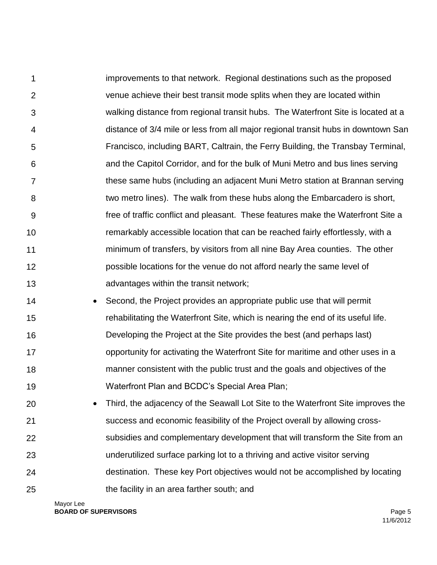1  $\mathcal{P}$ 3 4 5 6 7 8 9 10 11 12 13 improvements to that network. Regional destinations such as the proposed venue achieve their best transit mode splits when they are located within walking distance from regional transit hubs. The Waterfront Site is located at a distance of 3/4 mile or less from all major regional transit hubs in downtown San Francisco, including BART, Caltrain, the Ferry Building, the Transbay Terminal, and the Capitol Corridor, and for the bulk of Muni Metro and bus lines serving these same hubs (including an adjacent Muni Metro station at Brannan serving two metro lines). The walk from these hubs along the Embarcadero is short, free of traffic conflict and pleasant. These features make the Waterfront Site a remarkably accessible location that can be reached fairly effortlessly, with a minimum of transfers, by visitors from all nine Bay Area counties. The other possible locations for the venue do not afford nearly the same level of advantages within the transit network;

- 14 15 16 17 18 19 • Second, the Project provides an appropriate public use that will permit rehabilitating the Waterfront Site, which is nearing the end of its useful life. Developing the Project at the Site provides the best (and perhaps last) opportunity for activating the Waterfront Site for maritime and other uses in a manner consistent with the public trust and the goals and objectives of the Waterfront Plan and BCDC's Special Area Plan;
- 20 21 22 23 24 25 Third, the adjacency of the Seawall Lot Site to the Waterfront Site improves the success and economic feasibility of the Project overall by allowing crosssubsidies and complementary development that will transform the Site from an underutilized surface parking lot to a thriving and active visitor serving destination. These key Port objectives would not be accomplished by locating the facility in an area farther south; and

Mayor Lee **BOARD OF SUPERVISORS** Page 5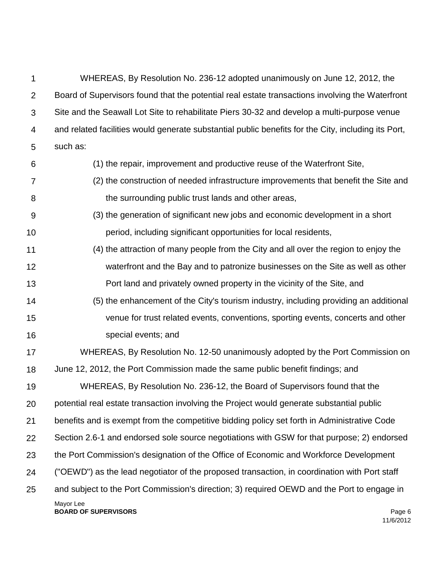| 1              | WHEREAS, By Resolution No. 236-12 adopted unanimously on June 12, 2012, the                         |
|----------------|-----------------------------------------------------------------------------------------------------|
| $\overline{2}$ | Board of Supervisors found that the potential real estate transactions involving the Waterfront     |
| 3              | Site and the Seawall Lot Site to rehabilitate Piers 30-32 and develop a multi-purpose venue         |
| 4              | and related facilities would generate substantial public benefits for the City, including its Port, |
| 5              | such as:                                                                                            |
| 6              | (1) the repair, improvement and productive reuse of the Waterfront Site,                            |
| $\overline{7}$ | (2) the construction of needed infrastructure improvements that benefit the Site and                |
| 8              | the surrounding public trust lands and other areas,                                                 |
| 9              | (3) the generation of significant new jobs and economic development in a short                      |
| 10             | period, including significant opportunities for local residents,                                    |
| 11             | (4) the attraction of many people from the City and all over the region to enjoy the                |
| 12             | waterfront and the Bay and to patronize businesses on the Site as well as other                     |
| 13             | Port land and privately owned property in the vicinity of the Site, and                             |
| 14             | (5) the enhancement of the City's tourism industry, including providing an additional               |
| 15             | venue for trust related events, conventions, sporting events, concerts and other                    |
| 16             | special events; and                                                                                 |
| 17             | WHEREAS, By Resolution No. 12-50 unanimously adopted by the Port Commission on                      |
| 18             | June 12, 2012, the Port Commission made the same public benefit findings; and                       |
| 19             | WHEREAS, By Resolution No. 236-12, the Board of Supervisors found that the                          |
| 20             | potential real estate transaction involving the Project would generate substantial public           |
| 21             | benefits and is exempt from the competitive bidding policy set forth in Administrative Code         |
| 22             | Section 2.6-1 and endorsed sole source negotiations with GSW for that purpose; 2) endorsed          |
| 23             | the Port Commission's designation of the Office of Economic and Workforce Development               |
| 24             | ("OEWD") as the lead negotiator of the proposed transaction, in coordination with Port staff        |
| 25             | and subject to the Port Commission's direction; 3) required OEWD and the Port to engage in          |
|                | Mayor Lee<br><b>BOARD OF SUPERVISORS</b><br>Page 6                                                  |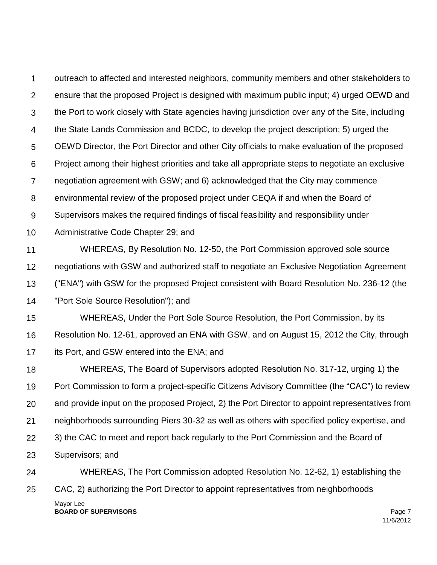Mayor Lee 1  $\mathcal{P}$ 3 4 5 6 7 8 9 10 11 12 13 14 15 16 17 18 19 20 21 22 23 24 25 outreach to affected and interested neighbors, community members and other stakeholders to ensure that the proposed Project is designed with maximum public input; 4) urged OEWD and the Port to work closely with State agencies having jurisdiction over any of the Site, including the State Lands Commission and BCDC, to develop the project description; 5) urged the OEWD Director, the Port Director and other City officials to make evaluation of the proposed Project among their highest priorities and take all appropriate steps to negotiate an exclusive negotiation agreement with GSW; and 6) acknowledged that the City may commence environmental review of the proposed project under CEQA if and when the Board of Supervisors makes the required findings of fiscal feasibility and responsibility under Administrative Code Chapter 29; and WHEREAS, By Resolution No. 12-50, the Port Commission approved sole source negotiations with GSW and authorized staff to negotiate an Exclusive Negotiation Agreement ("ENA") with GSW for the proposed Project consistent with Board Resolution No. 236-12 (the "Port Sole Source Resolution"); and WHEREAS, Under the Port Sole Source Resolution, the Port Commission, by its Resolution No. 12-61, approved an ENA with GSW, and on August 15, 2012 the City, through its Port, and GSW entered into the ENA; and WHEREAS, The Board of Supervisors adopted Resolution No. 317-12, urging 1) the Port Commission to form a project-specific Citizens Advisory Committee (the "CAC") to review and provide input on the proposed Project, 2) the Port Director to appoint representatives from neighborhoods surrounding Piers 30-32 as well as others with specified policy expertise, and 3) the CAC to meet and report back regularly to the Port Commission and the Board of Supervisors; and WHEREAS, The Port Commission adopted Resolution No. 12-62, 1) establishing the CAC, 2) authorizing the Port Director to appoint representatives from neighborhoods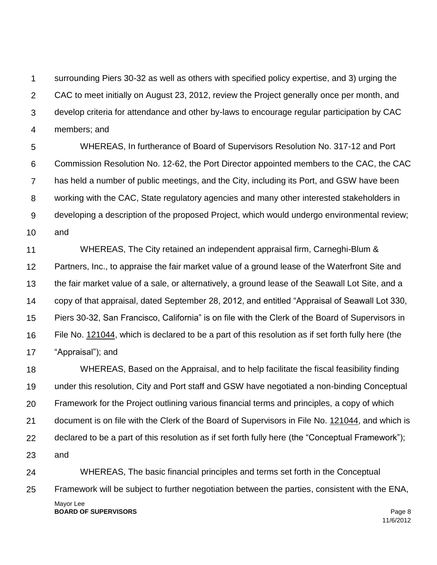1  $\mathcal{P}$ 3 4 surrounding Piers 30-32 as well as others with specified policy expertise, and 3) urging the CAC to meet initially on August 23, 2012, review the Project generally once per month, and develop criteria for attendance and other by-laws to encourage regular participation by CAC members; and

5 6 7 8 9 10 WHEREAS, In furtherance of Board of Supervisors Resolution No. 317-12 and Port Commission Resolution No. 12-62, the Port Director appointed members to the CAC, the CAC has held a number of public meetings, and the City, including its Port, and GSW have been working with the CAC, State regulatory agencies and many other interested stakeholders in developing a description of the proposed Project, which would undergo environmental review; and

11 12 13 14 15 16 17 WHEREAS, The City retained an independent appraisal firm, Carneghi-Blum & Partners, Inc., to appraise the fair market value of a ground lease of the Waterfront Site and the fair market value of a sale, or alternatively, a ground lease of the Seawall Lot Site, and a copy of that appraisal, dated September 28, 2012, and entitled "Appraisal of Seawall Lot 330, Piers 30-32, San Francisco, California" is on file with the Clerk of the Board of Supervisors in File No. 121044, which is declared to be a part of this resolution as if set forth fully here (the "Appraisal"); and

18 19 20 21 22 23 WHEREAS, Based on the Appraisal, and to help facilitate the fiscal feasibility finding under this resolution, City and Port staff and GSW have negotiated a non-binding Conceptual Framework for the Project outlining various financial terms and principles, a copy of which document is on file with the Clerk of the Board of Supervisors in File No. 121044, and which is declared to be a part of this resolution as if set forth fully here (the "Conceptual Framework"); and

Mayor Lee **BOARD OF SUPERVISORS** Page 8 24 25 WHEREAS, The basic financial principles and terms set forth in the Conceptual Framework will be subject to further negotiation between the parties, consistent with the ENA,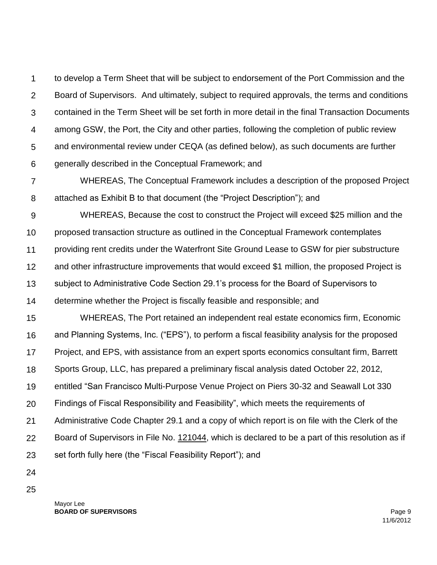1  $\mathcal{P}$ 3 4 5 6 to develop a Term Sheet that will be subject to endorsement of the Port Commission and the Board of Supervisors. And ultimately, subject to required approvals, the terms and conditions contained in the Term Sheet will be set forth in more detail in the final Transaction Documents among GSW, the Port, the City and other parties, following the completion of public review and environmental review under CEQA (as defined below), as such documents are further generally described in the Conceptual Framework; and

7 8 WHEREAS, The Conceptual Framework includes a description of the proposed Project attached as Exhibit B to that document (the "Project Description"); and

9 10 11 12 13 WHEREAS, Because the cost to construct the Project will exceed \$25 million and the proposed transaction structure as outlined in the Conceptual Framework contemplates providing rent credits under the Waterfront Site Ground Lease to GSW for pier substructure and other infrastructure improvements that would exceed \$1 million, the proposed Project is subject to Administrative Code Section 29.1's process for the Board of Supervisors to

14 determine whether the Project is fiscally feasible and responsible; and

15 16 17 18 19 20 21 22 23 WHEREAS, The Port retained an independent real estate economics firm, Economic and Planning Systems, Inc. ("EPS"), to perform a fiscal feasibility analysis for the proposed Project, and EPS, with assistance from an expert sports economics consultant firm, Barrett Sports Group, LLC, has prepared a preliminary fiscal analysis dated October 22, 2012, entitled "San Francisco Multi-Purpose Venue Project on Piers 30-32 and Seawall Lot 330 Findings of Fiscal Responsibility and Feasibility", which meets the requirements of Administrative Code Chapter 29.1 and a copy of which report is on file with the Clerk of the Board of Supervisors in File No. 121044, which is declared to be a part of this resolution as if set forth fully here (the "Fiscal Feasibility Report"); and

- 24
- 25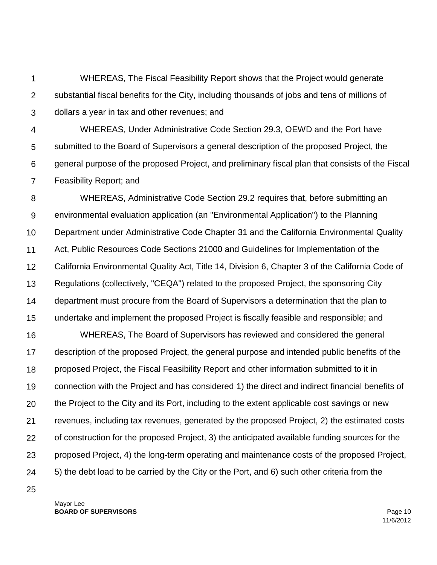1 2 3 WHEREAS, The Fiscal Feasibility Report shows that the Project would generate substantial fiscal benefits for the City, including thousands of jobs and tens of millions of dollars a year in tax and other revenues; and

4 5 6 7 WHEREAS, Under Administrative Code Section 29.3, OEWD and the Port have submitted to the Board of Supervisors a general description of the proposed Project, the general purpose of the proposed Project, and preliminary fiscal plan that consists of the Fiscal Feasibility Report; and

8 9 10 11 12 13 14 15 WHEREAS, Administrative Code Section 29.2 requires that, before submitting an environmental evaluation application (an "Environmental Application") to the Planning Department under Administrative Code Chapter 31 and the California Environmental Quality Act, Public Resources Code Sections 21000 and Guidelines for Implementation of the California Environmental Quality Act, Title 14, Division 6, Chapter 3 of the California Code of Regulations (collectively, "CEQA") related to the proposed Project, the sponsoring City department must procure from the Board of Supervisors a determination that the plan to undertake and implement the proposed Project is fiscally feasible and responsible; and

16 17 18 19 20 21 22 23 24 WHEREAS, The Board of Supervisors has reviewed and considered the general description of the proposed Project, the general purpose and intended public benefits of the proposed Project, the Fiscal Feasibility Report and other information submitted to it in connection with the Project and has considered 1) the direct and indirect financial benefits of the Project to the City and its Port, including to the extent applicable cost savings or new revenues, including tax revenues, generated by the proposed Project, 2) the estimated costs of construction for the proposed Project, 3) the anticipated available funding sources for the proposed Project, 4) the long-term operating and maintenance costs of the proposed Project, 5) the debt load to be carried by the City or the Port, and 6) such other criteria from the

25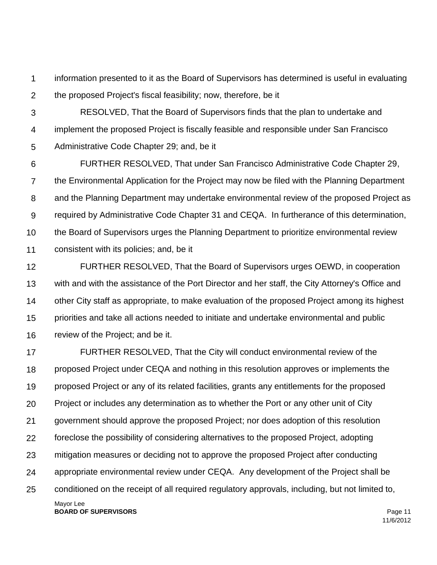1  $\mathcal{P}$ information presented to it as the Board of Supervisors has determined is useful in evaluating the proposed Project's fiscal feasibility; now, therefore, be it

3 4 5 RESOLVED, That the Board of Supervisors finds that the plan to undertake and implement the proposed Project is fiscally feasible and responsible under San Francisco Administrative Code Chapter 29; and, be it

6 7 8 9 10 11 FURTHER RESOLVED, That under San Francisco Administrative Code Chapter 29, the Environmental Application for the Project may now be filed with the Planning Department and the Planning Department may undertake environmental review of the proposed Project as required by Administrative Code Chapter 31 and CEQA. In furtherance of this determination, the Board of Supervisors urges the Planning Department to prioritize environmental review consistent with its policies; and, be it

12 13 14 15 16 FURTHER RESOLVED, That the Board of Supervisors urges OEWD, in cooperation with and with the assistance of the Port Director and her staff, the City Attorney's Office and other City staff as appropriate, to make evaluation of the proposed Project among its highest priorities and take all actions needed to initiate and undertake environmental and public review of the Project; and be it.

Mayor Lee 17 18 19 20 21 22 23 24 25 FURTHER RESOLVED, That the City will conduct environmental review of the proposed Project under CEQA and nothing in this resolution approves or implements the proposed Project or any of its related facilities, grants any entitlements for the proposed Project or includes any determination as to whether the Port or any other unit of City government should approve the proposed Project; nor does adoption of this resolution foreclose the possibility of considering alternatives to the proposed Project, adopting mitigation measures or deciding not to approve the proposed Project after conducting appropriate environmental review under CEQA. Any development of the Project shall be conditioned on the receipt of all required regulatory approvals, including, but not limited to,

**BOARD OF SUPERVISORS** Page 11